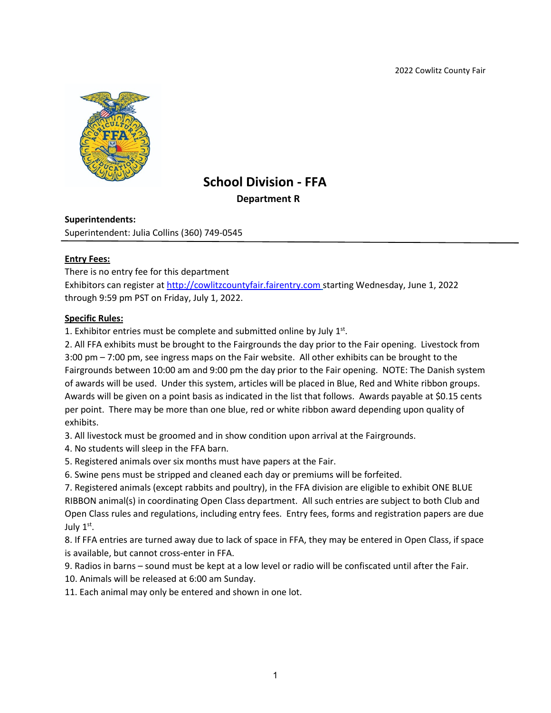2022 Cowlitz County Fair



# **School Division - FFA Department R**

### **Superintendents:**

Superintendent: Julia Collins (360) 749-0545

### **Entry Fees:**

There is no entry fee for this department

Exhibitors can register at [http://cowlitzcountyfair.fairentry.com](http://cowlitzcountyfair.fairentry.com/) starting Wednesday, June 1, 2022 through 9:59 pm PST on Friday, July 1, 2022.

### **Specific Rules:**

1. Exhibitor entries must be complete and submitted online by July  $1<sup>st</sup>$ .

2. All FFA exhibits must be brought to the Fairgrounds the day prior to the Fair opening. Livestock from 3:00 pm – 7:00 pm, see ingress maps on the Fair website. All other exhibits can be brought to the Fairgrounds between 10:00 am and 9:00 pm the day prior to the Fair opening. NOTE: The Danish system of awards will be used. Under this system, articles will be placed in Blue, Red and White ribbon groups. Awards will be given on a point basis as indicated in the list that follows. Awards payable at \$0.15 cents per point. There may be more than one blue, red or white ribbon award depending upon quality of exhibits.

3. All livestock must be groomed and in show condition upon arrival at the Fairgrounds.

- 4. No students will sleep in the FFA barn.
- 5. Registered animals over six months must have papers at the Fair.
- 6. Swine pens must be stripped and cleaned each day or premiums will be forfeited.

7. Registered animals (except rabbits and poultry), in the FFA division are eligible to exhibit ONE BLUE RIBBON animal(s) in coordinating Open Class department. All such entries are subject to both Club and Open Class rules and regulations, including entry fees. Entry fees, forms and registration papers are due July 1st.

8. If FFA entries are turned away due to lack of space in FFA, they may be entered in Open Class, if space is available, but cannot cross-enter in FFA.

9. Radios in barns – sound must be kept at a low level or radio will be confiscated until after the Fair.

10. Animals will be released at 6:00 am Sunday.

11. Each animal may only be entered and shown in one lot.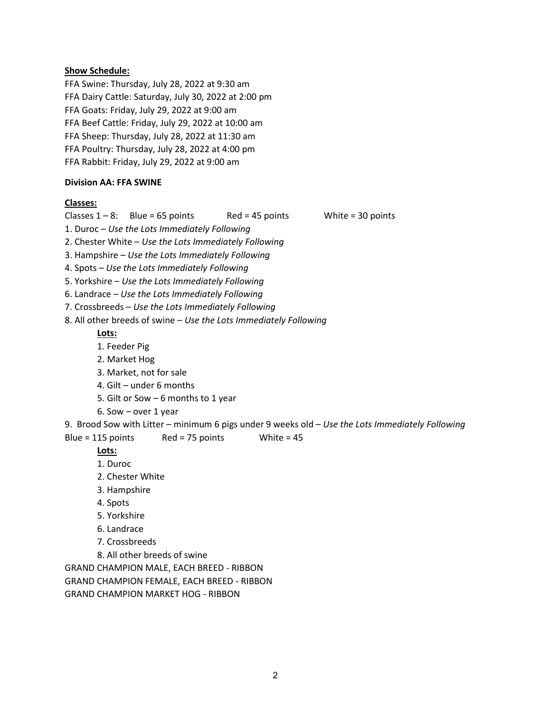### **Show Schedule:**

FFA Swine: Thursday, July 28, 2022 at 9:30 am FFA Dairy Cattle: Saturday, July 30, 2022 at 2:00 pm FFA Goats: Friday, July 29, 2022 at 9:00 am FFA Beef Cattle: Friday, July 29, 2022 at 10:00 am FFA Sheep: Thursday, July 28, 2022 at 11:30 am FFA Poultry: Thursday, July 28, 2022 at 4:00 pm FFA Rabbit: Friday, July 29, 2022 at 9:00 am

### **Division AA: FFA SWINE**

### **Classes:**

Classes  $1 - 8$ : Blue = 65 points Red = 45 points White = 30 points

1. Duroc – *Use the Lots Immediately Following*

2. Chester White – *Use the Lots Immediately Following*

3. Hampshire – *Use the Lots Immediately Following*

4. Spots – *Use the Lots Immediately Following*

5. Yorkshire – *Use the Lots Immediately Following*

6. Landrace – *Use the Lots Immediately Following*

7. Crossbreeds – *Use the Lots Immediately Following*

8. All other breeds of swine – *Use the Lots Immediately Following*

**Lots:**

1. Feeder Pig

2. Market Hog

3. Market, not for sale

4. Gilt – under 6 months

5. Gilt or Sow – 6 months to 1 year

6. Sow – over 1 year

9. Brood Sow with Litter – minimum 6 pigs under 9 weeks old – *Use the Lots Immediately Following*

Blue = 115 points Red = 75 points White =  $45$ 

# **Lots:**

1. Duroc

- 2. Chester White
- 3. Hampshire
- 4. Spots

5. Yorkshire

6. Landrace

7. Crossbreeds

8. All other breeds of swine

GRAND CHAMPION MALE, EACH BREED - RIBBON

GRAND CHAMPION FEMALE, EACH BREED - RIBBON

GRAND CHAMPION MARKET HOG - RIBBON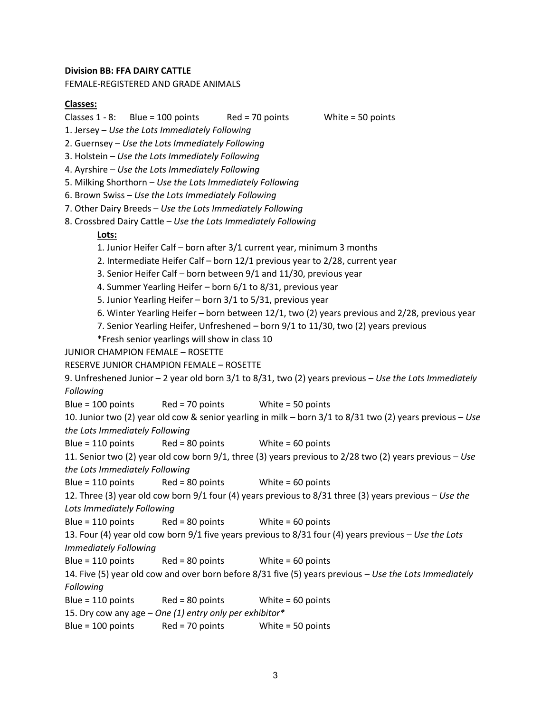#### **Division BB: FFA DAIRY CATTLE**

FEMALE-REGISTERED AND GRADE ANIMALS

#### **Classes:**

Classes  $1 - 8$ : Blue = 100 points Red = 70 points White = 50 points

- 1. Jersey *Use the Lots Immediately Following*
- 2. Guernsey *Use the Lots Immediately Following*
- 3. Holstein *Use the Lots Immediately Following*
- 4. Ayrshire *Use the Lots Immediately Following*
- 5. Milking Shorthorn *Use the Lots Immediately Following*
- 6. Brown Swiss *Use the Lots Immediately Following*
- 7. Other Dairy Breeds *Use the Lots Immediately Following*
- 8. Crossbred Dairy Cattle *Use the Lots Immediately Following*

### **Lots:**

- 1. Junior Heifer Calf born after 3/1 current year, minimum 3 months
- 2. Intermediate Heifer Calf born 12/1 previous year to 2/28, current year
- 3. Senior Heifer Calf born between 9/1 and 11/30, previous year
- 4. Summer Yearling Heifer born 6/1 to 8/31, previous year
- 5. Junior Yearling Heifer born 3/1 to 5/31, previous year
- 6. Winter Yearling Heifer born between 12/1, two (2) years previous and 2/28, previous year
- 7. Senior Yearling Heifer, Unfreshened born 9/1 to 11/30, two (2) years previous
- \*Fresh senior yearlings will show in class 10
- JUNIOR CHAMPION FEMALE ROSETTE

```
RESERVE JUNIOR CHAMPION FEMALE – ROSETTE
```

```
9. Unfreshened Junior – 2 year old born 3/1 to 8/31, two (2) years previous – Use the Lots Immediately 
Following
```
Blue = 100 points Red = 70 points White = 50 points

```
10. Junior two (2) year old cow & senior yearling in milk – born 3/1 to 8/31 two (2) years previous – Use 
the Lots Immediately Following
```
Blue = 110 points Red = 80 points White = 60 points

11. Senior two (2) year old cow born 9/1, three (3) years previous to 2/28 two (2) years previous – *Use the Lots Immediately Following*

```
Blue = 110 points Red = 80 points White = 60 points
```

```
12. Three (3) year old cow born 9/1 four (4) years previous to 8/31 three (3) years previous – Use the 
Lots Immediately Following
```
Blue = 110 points Red = 80 points White = 60 points

```
13. Four (4) year old cow born 9/1 five years previous to 8/31 four (4) years previous – Use the Lots 
Immediately Following
```
Blue = 110 points Red = 80 points White = 60 points

14. Five (5) year old cow and over born before 8/31 five (5) years previous – *Use the Lots Immediately Following*

Blue = 110 points Red = 80 points White = 60 points

15. Dry cow any age – *One (1) entry only per exhibitor\**

Blue = 100 points Red = 70 points White = 50 points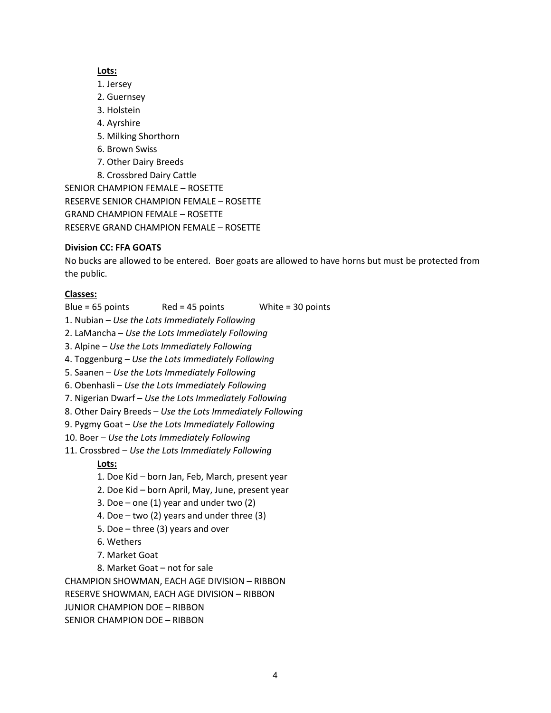### **Lots:**

- 1. Jersey
- 2. Guernsey
- 3. Holstein
- 4. Ayrshire
- 5. Milking Shorthorn
- 6. Brown Swiss
- 7. Other Dairy Breeds
- 8. Crossbred Dairy Cattle

SENIOR CHAMPION FEMALE – ROSETTE RESERVE SENIOR CHAMPION FEMALE – ROSETTE GRAND CHAMPION FEMALE – ROSETTE RESERVE GRAND CHAMPION FEMALE – ROSETTE

# **Division CC: FFA GOATS**

No bucks are allowed to be entered. Boer goats are allowed to have horns but must be protected from the public.

# **Classes:**

- Blue = 65 points Red = 45 points White = 30 points
- 1. Nubian *Use the Lots Immediately Following*
- 2. LaMancha *Use the Lots Immediately Following*
- 3. Alpine *Use the Lots Immediately Following*
- 4. Toggenburg *Use the Lots Immediately Following*
- 5. Saanen *Use the Lots Immediately Following*
- 6. Obenhasli *Use the Lots Immediately Following*
- 7. Nigerian Dwarf *Use the Lots Immediately Following*
- 8. Other Dairy Breeds *Use the Lots Immediately Following*
- 9. Pygmy Goat *Use the Lots Immediately Following*
- 10. Boer *Use the Lots Immediately Following*
- 11. Crossbred *Use the Lots Immediately Following*

# **Lots:**

- 1. Doe Kid born Jan, Feb, March, present year
- 2. Doe Kid born April, May, June, present year
- 3. Doe one  $(1)$  year and under two  $(2)$
- 4. Doe two (2) years and under three (3)
- 5. Doe three (3) years and over
- 6. Wethers
- 7. Market Goat
- 8. Market Goat not for sale

CHAMPION SHOWMAN, EACH AGE DIVISION – RIBBON

RESERVE SHOWMAN, EACH AGE DIVISION – RIBBON

- JUNIOR CHAMPION DOE RIBBON
- SENIOR CHAMPION DOE RIBBON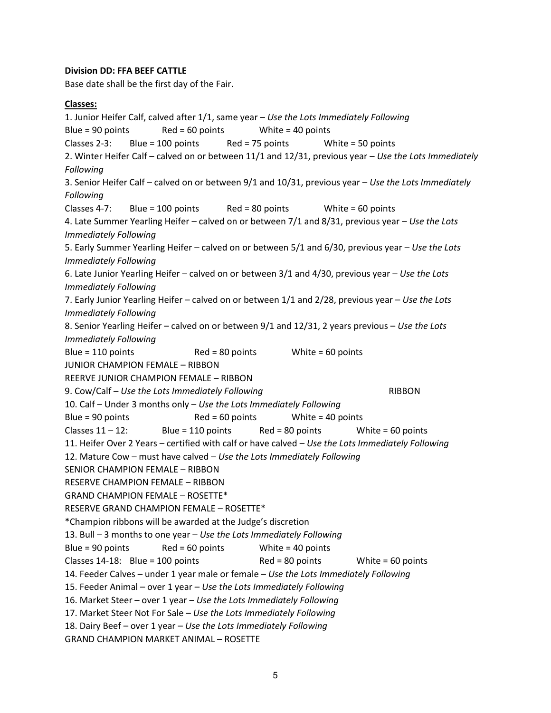### **Division DD: FFA BEEF CATTLE**

Base date shall be the first day of the Fair.

### **Classes:**

1. Junior Heifer Calf, calved after 1/1, same year – *Use the Lots Immediately Following* Blue = 90 points Red =  $60$  points White =  $40$  points Classes 2-3: Blue = 100 points Red = 75 points White = 50 points 2. Winter Heifer Calf – calved on or between 11/1 and 12/31, previous year – *Use the Lots Immediately Following* 3. Senior Heifer Calf – calved on or between 9/1 and 10/31, previous year – *Use the Lots Immediately Following* Classes 4-7: Blue = 100 points Red = 80 points White = 60 points 4. Late Summer Yearling Heifer – calved on or between 7/1 and 8/31, previous year – *Use the Lots Immediately Following* 5. Early Summer Yearling Heifer – calved on or between 5/1 and 6/30, previous year – *Use the Lots Immediately Following* 6. Late Junior Yearling Heifer – calved on or between 3/1 and 4/30, previous year – *Use the Lots Immediately Following* 7. Early Junior Yearling Heifer – calved on or between 1/1 and 2/28, previous year – *Use the Lots Immediately Following* 8. Senior Yearling Heifer – calved on or between 9/1 and 12/31, 2 years previous – *Use the Lots Immediately Following* Blue = 110 points Red = 80 points White = 60 points JUNIOR CHAMPION FEMALE – RIBBON REERVE JUNIOR CHAMPION FEMALE – RIBBON 9. Cow/Calf – Use the Lots Immediately Following entitled and RIBBON 10. Calf – Under 3 months only – *Use the Lots Immediately Following* Blue = 90 points Red = 60 points White = 40 points Classes  $11 - 12$ : Blue = 110 points Red = 80 points White = 60 points 11. Heifer Over 2 Years – certified with calf or have calved – *Use the Lots Immediately Following* 12. Mature Cow – must have calved – *Use the Lots Immediately Following* SENIOR CHAMPION FEMALE – RIBBON RESERVE CHAMPION FEMALE – RIBBON GRAND CHAMPION FEMALE – ROSETTE\* RESERVE GRAND CHAMPION FEMALE – ROSETTE\* \*Champion ribbons will be awarded at the Judge's discretion 13. Bull – 3 months to one year – *Use the Lots Immediately Following* Blue = 90 points Red = 60 points White = 40 points Classes  $14-18$ : Blue = 100 points Red = 80 points White = 60 points 14. Feeder Calves – under 1 year male or female – *Use the Lots Immediately Following* 15. Feeder Animal – over 1 year – *Use the Lots Immediately Following* 16. Market Steer – over 1 year – *Use the Lots Immediately Following* 17. Market Steer Not For Sale – *Use the Lots Immediately Following* 18. Dairy Beef – over 1 year – *Use the Lots Immediately Following* GRAND CHAMPION MARKET ANIMAL – ROSETTE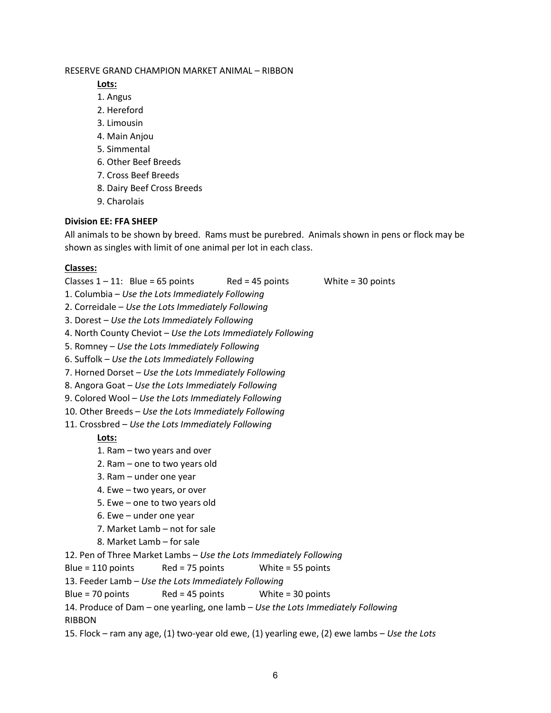### RESERVE GRAND CHAMPION MARKET ANIMAL – RIBBON

**Lots:**

- 1. Angus
- 2. Hereford
- 3. Limousin
- 4. Main Anjou
- 5. Simmental
- 6. Other Beef Breeds
- 7. Cross Beef Breeds
- 8. Dairy Beef Cross Breeds
- 9. Charolais

# **Division EE: FFA SHEEP**

All animals to be shown by breed. Rams must be purebred. Animals shown in pens or flock may be shown as singles with limit of one animal per lot in each class.

# **Classes:**

- Classes  $1 11$ : Blue = 65 points Red = 45 points White = 30 points
- 1. Columbia *Use the Lots Immediately Following*
- 2. Correidale *Use the Lots Immediately Following*
- 3. Dorest *Use the Lots Immediately Following*
- 4. North County Cheviot *Use the Lots Immediately Following*
- 5. Romney *Use the Lots Immediately Following*
- 6. Suffolk *Use the Lots Immediately Following*
- 7. Horned Dorset *Use the Lots Immediately Following*
- 8. Angora Goat *Use the Lots Immediately Following*
- 9. Colored Wool *Use the Lots Immediately Following*
- 10. Other Breeds *Use the Lots Immediately Following*
- 11. Crossbred *Use the Lots Immediately Following*

# **Lots:**

- 1. Ram two years and over
- 2. Ram one to two years old
- 3. Ram under one year
- 4. Ewe two years, or over
- 5. Ewe one to two years old
- 6. Ewe under one year
- 7. Market Lamb not for sale
- 8. Market Lamb for sale

12. Pen of Three Market Lambs – *Use the Lots Immediately Following*

Blue = 110 points Red = 75 points White = 55 points

13. Feeder Lamb – *Use the Lots Immediately Following*

Blue = 70 points Red = 45 points White = 30 points

14. Produce of Dam – one yearling, one lamb – *Use the Lots Immediately Following* RIBBON

15. Flock – ram any age, (1) two-year old ewe, (1) yearling ewe, (2) ewe lambs – *Use the Lots*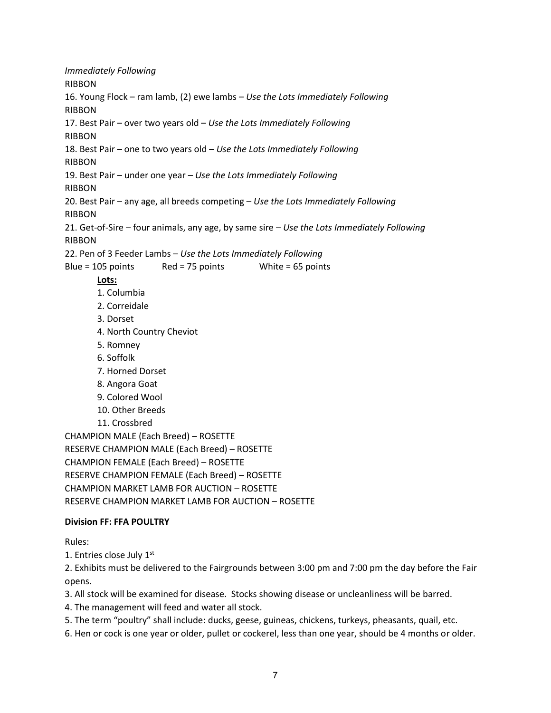*Immediately Following* RIBBON 16. Young Flock – ram lamb, (2) ewe lambs – *Use the Lots Immediately Following* RIBBON 17. Best Pair – over two years old – *Use the Lots Immediately Following* RIBBON 18. Best Pair – one to two years old – *Use the Lots Immediately Following* RIBBON 19. Best Pair – under one year – *Use the Lots Immediately Following* RIBBON 20. Best Pair – any age, all breeds competing – *Use the Lots Immediately Following* RIBBON 21. Get-of-Sire – four animals, any age, by same sire – *Use the Lots Immediately Following* RIBBON 22. Pen of 3 Feeder Lambs – *Use the Lots Immediately Following* Blue = 105 points Red = 75 points White = 65 points **Lots:** 1. Columbia 2. Correidale 3. Dorset 4. North Country Cheviot 5. Romney 6. Soffolk 7. Horned Dorset 8. Angora Goat 9. Colored Wool 10. Other Breeds 11. Crossbred CHAMPION MALE (Each Breed) – ROSETTE RESERVE CHAMPION MALE (Each Breed) – ROSETTE CHAMPION FEMALE (Each Breed) – ROSETTE RESERVE CHAMPION FEMALE (Each Breed) – ROSETTE CHAMPION MARKET LAMB FOR AUCTION – ROSETTE RESERVE CHAMPION MARKET LAMB FOR AUCTION – ROSETTE **Division FF: FFA POULTRY**

### Rules:

1. Entries close July 1st

2. Exhibits must be delivered to the Fairgrounds between 3:00 pm and 7:00 pm the day before the Fair opens.

3. All stock will be examined for disease. Stocks showing disease or uncleanliness will be barred.

4. The management will feed and water all stock.

5. The term "poultry" shall include: ducks, geese, guineas, chickens, turkeys, pheasants, quail, etc.

6. Hen or cock is one year or older, pullet or cockerel, less than one year, should be 4 months or older.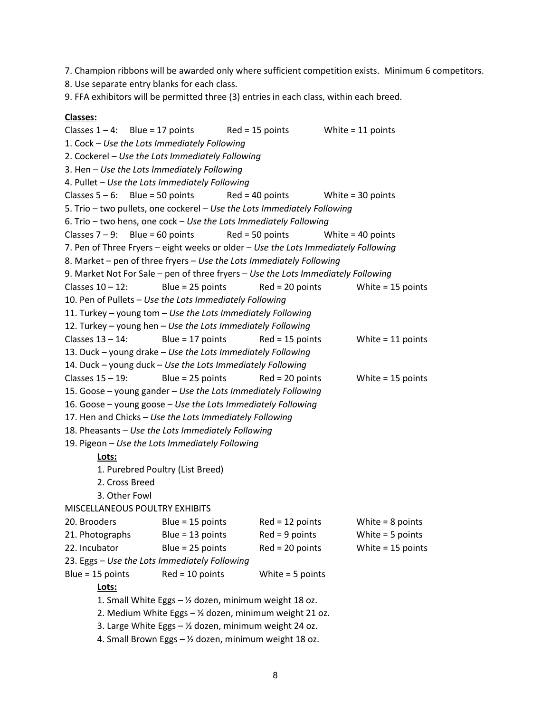7. Champion ribbons will be awarded only where sufficient competition exists. Minimum 6 competitors.

8. Use separate entry blanks for each class.

9. FFA exhibitors will be permitted three (3) entries in each class, within each breed.

#### **Classes:**

Classes  $1 - 4$ : Blue = 17 points Red = 15 points White = 11 points 1. Cock – *Use the Lots Immediately Following* 2. Cockerel – *Use the Lots Immediately Following* 3. Hen – *Use the Lots Immediately Following* 4. Pullet – *Use the Lots Immediately Following* Classes  $5 - 6$ : Blue = 50 points Red = 40 points White = 30 points 5. Trio – two pullets, one cockerel – *Use the Lots Immediately Following* 6. Trio – two hens, one cock – *Use the Lots Immediately Following* Classes  $7 - 9$ : Blue = 60 points Red = 50 points White = 40 points 7. Pen of Three Fryers – eight weeks or older – *Use the Lots Immediately Following* 8. Market – pen of three fryers – *Use the Lots Immediately Following* 9. Market Not For Sale – pen of three fryers – *Use the Lots Immediately Following* Classes  $10 - 12$ : Blue = 25 points Red = 20 points White = 15 points 10. Pen of Pullets – *Use the Lots Immediately Following* 11. Turkey – young tom – *Use the Lots Immediately Following* 12. Turkey – young hen – *Use the Lots Immediately Following* Classes  $13 - 14$ : Blue = 17 points Red = 15 points White = 11 points 13. Duck – young drake – *Use the Lots Immediately Following* 14. Duck – young duck – *Use the Lots Immediately Following* Classes  $15 - 19$ : Blue = 25 points Red = 20 points White = 15 points 15. Goose – young gander – *Use the Lots Immediately Following* 16. Goose – young goose – *Use the Lots Immediately Following* 17. Hen and Chicks – *Use the Lots Immediately Following* 18. Pheasants – *Use the Lots Immediately Following* 19. Pigeon – *Use the Lots Immediately Following* **Lots:** 1. Purebred Poultry (List Breed) 2. Cross Breed 3. Other Fowl MISCELLANEOUS POULTRY EXHIBITS 20. Brooders Blue = 15 points Red = 12 points White = 8 points 21. Photographs Blue = 13 points Red = 9 points White = 5 points 22. Incubator Blue = 25 points Red = 20 points White = 15 points 23. Eggs – *Use the Lots Immediately Following* Blue = 15 points Red = 10 points White = 5 points **Lots:** 1. Small White Eggs  $-$  % dozen, minimum weight 18 oz. 2. Medium White Eggs – ½ dozen, minimum weight 21 oz. 3. Large White Eggs  $-$  1/2 dozen, minimum weight 24 oz. 4. Small Brown Eggs – ½ dozen, minimum weight 18 oz.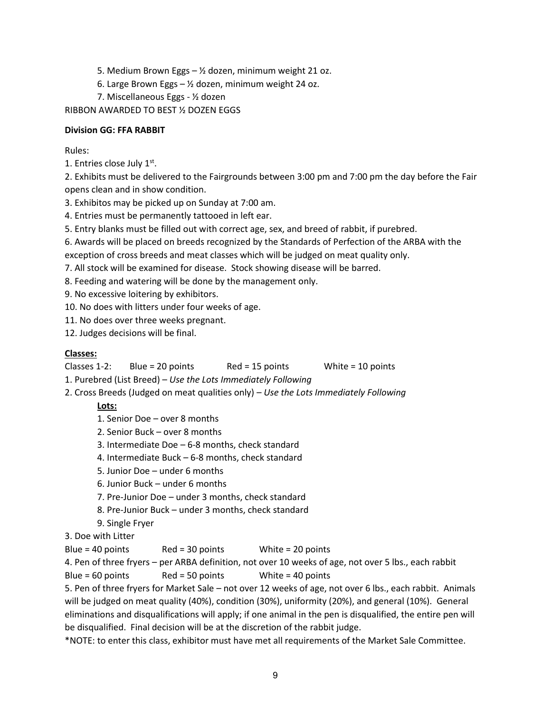- 5. Medium Brown Eggs  $-$  1/<sub>2</sub> dozen, minimum weight 21 oz.
- 6. Large Brown Eggs ½ dozen, minimum weight 24 oz.
- 7. Miscellaneous Eggs ½ dozen

RIBBON AWARDED TO BEST ½ DOZEN EGGS

### **Division GG: FFA RABBIT**

Rules:

1. Entries close July 1st.

2. Exhibits must be delivered to the Fairgrounds between 3:00 pm and 7:00 pm the day before the Fair opens clean and in show condition.

- 3. Exhibitos may be picked up on Sunday at 7:00 am.
- 4. Entries must be permanently tattooed in left ear.
- 5. Entry blanks must be filled out with correct age, sex, and breed of rabbit, if purebred.
- 6. Awards will be placed on breeds recognized by the Standards of Perfection of the ARBA with the

exception of cross breeds and meat classes which will be judged on meat quality only.

- 7. All stock will be examined for disease. Stock showing disease will be barred.
- 8. Feeding and watering will be done by the management only.
- 9. No excessive loitering by exhibitors.
- 10. No does with litters under four weeks of age.
- 11. No does over three weeks pregnant.

12. Judges decisions will be final.

### **Classes:**

- Classes 1-2: Blue = 20 points Red = 15 points White = 10 points
- 1. Purebred (List Breed) *Use the Lots Immediately Following*
- 2. Cross Breeds (Judged on meat qualities only) *Use the Lots Immediately Following*

# **Lots:**

- 1. Senior Doe over 8 months
- 2. Senior Buck over 8 months
- 3. Intermediate Doe 6-8 months, check standard
- 4. Intermediate Buck 6-8 months, check standard
- 5. Junior Doe under 6 months
- 6. Junior Buck under 6 months
- 7. Pre-Junior Doe under 3 months, check standard
- 8. Pre-Junior Buck under 3 months, check standard
- 9. Single Fryer
- 3. Doe with Litter

Blue = 40 points Red = 30 points White = 20 points

4. Pen of three fryers – per ARBA definition, not over 10 weeks of age, not over 5 lbs., each rabbit

Blue =  $60$  points Red =  $50$  points White =  $40$  points

5. Pen of three fryers for Market Sale – not over 12 weeks of age, not over 6 lbs., each rabbit. Animals will be judged on meat quality (40%), condition (30%), uniformity (20%), and general (10%). General eliminations and disqualifications will apply; if one animal in the pen is disqualified, the entire pen will be disqualified. Final decision will be at the discretion of the rabbit judge.

\*NOTE: to enter this class, exhibitor must have met all requirements of the Market Sale Committee.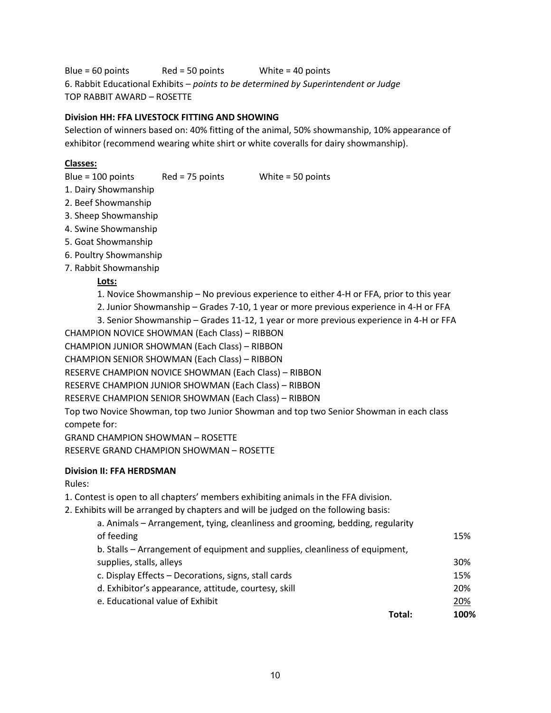Blue = 60 points Red = 50 points White = 40 points 6. Rabbit Educational Exhibits – *points to be determined by Superintendent or Judge* TOP RABBIT AWARD – ROSETTE

### **Division HH: FFA LIVESTOCK FITTING AND SHOWING**

Selection of winners based on: 40% fitting of the animal, 50% showmanship, 10% appearance of exhibitor (recommend wearing white shirt or white coveralls for dairy showmanship).

### **Classes:**

Blue = 100 points Red = 75 points White = 50 points

- 1. Dairy Showmanship
- 2. Beef Showmanship
- 3. Sheep Showmanship
- 4. Swine Showmanship
- 5. Goat Showmanship
- 6. Poultry Showmanship
- 7. Rabbit Showmanship

### **Lots:**

- 1. Novice Showmanship No previous experience to either 4-H or FFA, prior to this year
- 2. Junior Showmanship Grades 7-10, 1 year or more previous experience in 4-H or FFA
- 3. Senior Showmanship Grades 11-12, 1 year or more previous experience in 4-H or FFA
- CHAMPION NOVICE SHOWMAN (Each Class) RIBBON
- CHAMPION JUNIOR SHOWMAN (Each Class) RIBBON
- CHAMPION SENIOR SHOWMAN (Each Class) RIBBON
- RESERVE CHAMPION NOVICE SHOWMAN (Each Class) RIBBON
- RESERVE CHAMPION JUNIOR SHOWMAN (Each Class) RIBBON
- RESERVE CHAMPION SENIOR SHOWMAN (Each Class) RIBBON

Top two Novice Showman, top two Junior Showman and top two Senior Showman in each class compete for:

GRAND CHAMPION SHOWMAN – ROSETTE RESERVE GRAND CHAMPION SHOWMAN – ROSETTE

### **Division II: FFA HERDSMAN**

Rules:

- 1. Contest is open to all chapters' members exhibiting animals in the FFA division.
- 2. Exhibits will be arranged by chapters and will be judged on the following basis:

| a. Animals - Arrangement, tying, cleanliness and grooming, bedding, regularity<br>of feeding |        | 15%  |
|----------------------------------------------------------------------------------------------|--------|------|
|                                                                                              |        |      |
| b. Stalls – Arrangement of equipment and supplies, cleanliness of equipment,                 |        |      |
| supplies, stalls, alleys                                                                     |        | 30%  |
| c. Display Effects - Decorations, signs, stall cards                                         |        | 15%  |
| d. Exhibitor's appearance, attitude, courtesy, skill                                         |        | 20%  |
| e. Educational value of Exhibit                                                              |        | 20%  |
|                                                                                              | Total: | 100% |
|                                                                                              |        |      |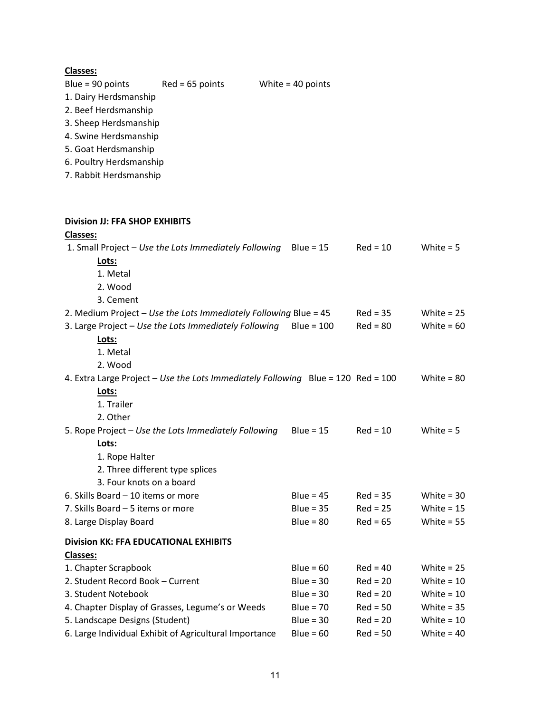| <b>Classes:</b>                                                |                                                                                  |                            |                          |              |
|----------------------------------------------------------------|----------------------------------------------------------------------------------|----------------------------|--------------------------|--------------|
| Blue = $90$ points                                             | $Red = 65$ points                                                                | White $=$ 40 points        |                          |              |
| 1. Dairy Herdsmanship                                          |                                                                                  |                            |                          |              |
| 2. Beef Herdsmanship                                           |                                                                                  |                            |                          |              |
| 3. Sheep Herdsmanship                                          |                                                                                  |                            |                          |              |
| 4. Swine Herdsmanship                                          |                                                                                  |                            |                          |              |
| 5. Goat Herdsmanship                                           |                                                                                  |                            |                          |              |
| 6. Poultry Herdsmanship                                        |                                                                                  |                            |                          |              |
| 7. Rabbit Herdsmanship                                         |                                                                                  |                            |                          |              |
| Division JJ: FFA SHOP EXHIBITS                                 |                                                                                  |                            |                          |              |
| <b>Classes:</b>                                                |                                                                                  |                            |                          |              |
|                                                                | 1. Small Project - Use the Lots Immediately Following                            | Blue = $15$                | $Red = 10$               | White $= 5$  |
| Lots:                                                          |                                                                                  |                            |                          |              |
| 1. Metal                                                       |                                                                                  |                            |                          |              |
| 2. Wood                                                        |                                                                                  |                            |                          |              |
| 3. Cement                                                      |                                                                                  |                            |                          |              |
|                                                                | 2. Medium Project - Use the Lots Immediately Following Blue = 45                 |                            | $Red = 35$               | White $= 25$ |
|                                                                | 3. Large Project - Use the Lots Immediately Following                            | $Blue = 100$               | $Red = 80$               | White = $60$ |
| Lots:                                                          |                                                                                  |                            |                          |              |
| 1. Metal                                                       |                                                                                  |                            |                          |              |
| 2. Wood                                                        |                                                                                  |                            |                          |              |
|                                                                | 4. Extra Large Project - Use the Lots Immediately Following Blue = 120 Red = 100 |                            |                          | White = $80$ |
| Lots:                                                          |                                                                                  |                            |                          |              |
| 1. Trailer                                                     |                                                                                  |                            |                          |              |
| 2. Other                                                       |                                                                                  |                            |                          |              |
|                                                                | 5. Rope Project - Use the Lots Immediately Following                             | Blue = $15$                | $Red = 10$               | White $= 5$  |
| Lots:                                                          |                                                                                  |                            |                          |              |
| 1. Rope Halter                                                 |                                                                                  |                            |                          |              |
| 2. Three different type splices                                |                                                                                  |                            |                          |              |
| 3. Four knots on a board<br>6. Skills Board - 10 items or more |                                                                                  |                            |                          | White = $30$ |
| 7. Skills Board - 5 items or more                              |                                                                                  | Blue = $45$<br>$Blue = 35$ | $Red = 35$<br>$Red = 25$ | White = $15$ |
| 8. Large Display Board                                         |                                                                                  | $Blue = 80$                | $Red = 65$               | White = $55$ |
|                                                                |                                                                                  |                            |                          |              |
| <b>Division KK: FFA EDUCATIONAL EXHIBITS</b>                   |                                                                                  |                            |                          |              |
| <b>Classes:</b>                                                |                                                                                  |                            |                          |              |
| 1. Chapter Scrapbook                                           |                                                                                  | Blue = $60$                | $Red = 40$               | White = $25$ |
| 2. Student Record Book - Current                               |                                                                                  | Blue = $30$                | $Red = 20$               | White = $10$ |
| 3. Student Notebook                                            |                                                                                  | $Blue = 30$                | $Red = 20$               | White = $10$ |
|                                                                | 4. Chapter Display of Grasses, Legume's or Weeds                                 | Blue = $70$                | $Red = 50$               | White = $35$ |
| 5. Landscape Designs (Student)                                 |                                                                                  | Blue = $30$                | $Red = 20$               | White = $10$ |
|                                                                | 6. Large Individual Exhibit of Agricultural Importance                           | $Blue = 60$                | $Red = 50$               | White = $40$ |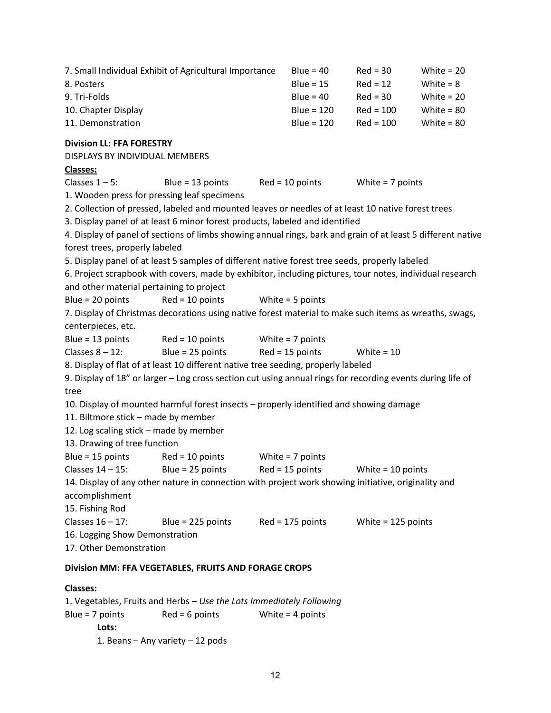|                                             | 7. Small Individual Exhibit of Agricultural Importance                                                       | Blue = $40$        | $Red = 30$           | White $= 20$ |
|---------------------------------------------|--------------------------------------------------------------------------------------------------------------|--------------------|----------------------|--------------|
| 8. Posters                                  |                                                                                                              | Blue = $15$        | $Red = 12$           | White = $8$  |
| 9. Tri-Folds                                |                                                                                                              | $Blue = 40$        | $Red = 30$           | White = $20$ |
| 10. Chapter Display                         |                                                                                                              | $Blue = 120$       | $Red = 100$          | White = $80$ |
| 11. Demonstration                           |                                                                                                              | $Blue = 120$       | $Red = 100$          | White = $80$ |
| <b>Division LL: FFA FORESTRY</b>            |                                                                                                              |                    |                      |              |
| DISPLAYS BY INDIVIDUAL MEMBERS              |                                                                                                              |                    |                      |              |
| <b>Classes:</b>                             |                                                                                                              |                    |                      |              |
| Classes $1 - 5$ :                           | Blue = $13$ points                                                                                           | Red = 10 points    | White $= 7$ points   |              |
| 1. Wooden press for pressing leaf specimens |                                                                                                              |                    |                      |              |
|                                             | 2. Collection of pressed, labeled and mounted leaves or needles of at least 10 native forest trees           |                    |                      |              |
|                                             | 3. Display panel of at least 6 minor forest products, labeled and identified                                 |                    |                      |              |
|                                             | 4. Display of panel of sections of limbs showing annual rings, bark and grain of at least 5 different native |                    |                      |              |
| forest trees, properly labeled              |                                                                                                              |                    |                      |              |
|                                             | 5. Display panel of at least 5 samples of different native forest tree seeds, properly labeled               |                    |                      |              |
|                                             | 6. Project scrapbook with covers, made by exhibitor, including pictures, tour notes, individual research     |                    |                      |              |
| and other material pertaining to project    |                                                                                                              |                    |                      |              |
| Blue = $20$ points                          | $Red = 10$ points                                                                                            | White = 5 points   |                      |              |
|                                             | 7. Display of Christmas decorations using native forest material to make such items as wreaths, swags,       |                    |                      |              |
| centerpieces, etc.                          |                                                                                                              |                    |                      |              |
|                                             | Blue = 13 points $Red = 10$ points White = 7 points                                                          |                    |                      |              |
| Classes $8 - 12$ :                          | Blue = $25$ points Red = $15$ points                                                                         |                    | White = $10$         |              |
|                                             | 8. Display of flat of at least 10 different native tree seeding, properly labeled                            |                    |                      |              |
|                                             | 9. Display of 18" or larger - Log cross section cut using annual rings for recording events during life of   |                    |                      |              |
| tree                                        |                                                                                                              |                    |                      |              |
|                                             | 10. Display of mounted harmful forest insects - properly identified and showing damage                       |                    |                      |              |
| 11. Biltmore stick - made by member         |                                                                                                              |                    |                      |              |
| 12. Log scaling stick - made by member      |                                                                                                              |                    |                      |              |
| 13. Drawing of tree function                |                                                                                                              |                    |                      |              |
| Blue = $15$ points                          | $Red = 10$ points                                                                                            | White $= 7$ points |                      |              |
|                                             | Classes 14 - 15: Blue = 25 points Red = 15 points White = 10 points                                          |                    |                      |              |
|                                             | 14. Display of any other nature in connection with project work showing initiative, originality and          |                    |                      |              |
| accomplishment                              |                                                                                                              |                    |                      |              |
| 15. Fishing Rod                             |                                                                                                              |                    |                      |              |
| Classes 16 - 17:                            | Blue = $225$ points Red = $175$ points                                                                       |                    | White = $125$ points |              |
| 16. Logging Show Demonstration              |                                                                                                              |                    |                      |              |
| 17. Other Demonstration                     |                                                                                                              |                    |                      |              |
|                                             | Division MM: FFA VEGETABLES, FRUITS AND FORAGE CROPS                                                         |                    |                      |              |

# **Classes:**

1. Vegetables, Fruits and Herbs – *Use the Lots Immediately Following* Blue = 7 points Red = 6 points White = 4 points **Lots:** 1. Beans – Any variety – 12 pods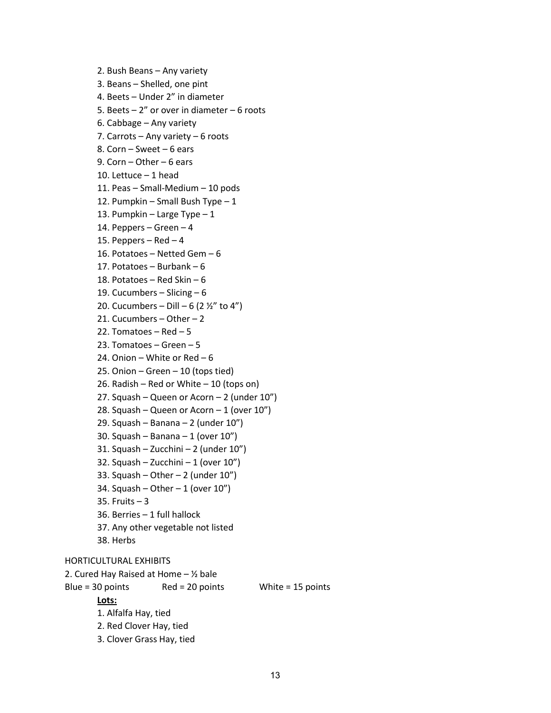```
2. Bush Beans – Any variety
       3. Beans – Shelled, one pint
       4. Beets – Under 2" in diameter 
       5. Beets – 2" or over in diameter – 6 roots
        6. Cabbage – Any variety
        7. Carrots – Any variety – 6 roots
       8. Corn – Sweet – 6 ears
       9. Corn – Other – 6 ears
        10. Lettuce – 1 head
        11. Peas – Small-Medium – 10 pods
        12. Pumpkin – Small Bush Type – 113. Pumpkin – Large Type – 1
        14. Peppers – Green – 4
       15. Peppers – Red – 416. Potatoes – Netted Gem – 6
        17. Potatoes – Burbank – 6
        18. Potatoes – Red Skin – 6
       19. Cucumbers – Slicing – 6
        20. Cucumbers – Dill – 6 (2 \frac{1}{2}" to 4")
        21. Cucumbers – Other – 2
       22. Tomatoes – Red - 523. Tomatoes – Green – 5
       24. Onion – White or Red - 625. Onion – Green – 10 (tops tied)
       26. Radish – Red or White – 10 (tops on)
       27. Squash – Queen or Acorn – 2 (under 10")
        28. Squash – Queen or Acorn – 1 (over 10")
        29. Squash – Banana – 2 (under 10")
        30. Squash – Banana – 1 (over 10")
        31. Squash – Zucchini – 2 (under 10")
        32. Squash – Zucchini – 1 (over 10")
        33. Squash – Other – 2 (under 10")
       34. Squash – Other – 1 (over 10")
       35. Fruits – 3 
        36. Berries – 1 full hallock 
        37. Any other vegetable not listed
       38. Herbs
HORTICULTURAL EXHIBITS
2. Cured Hay Raised at Home - 1/2 bale
Blue = 30 points Red = 20 points White = 15 points
       Lots:
       1. Alfalfa Hay, tied
       2. Red Clover Hay, tied
        3. Clover Grass Hay, tied
```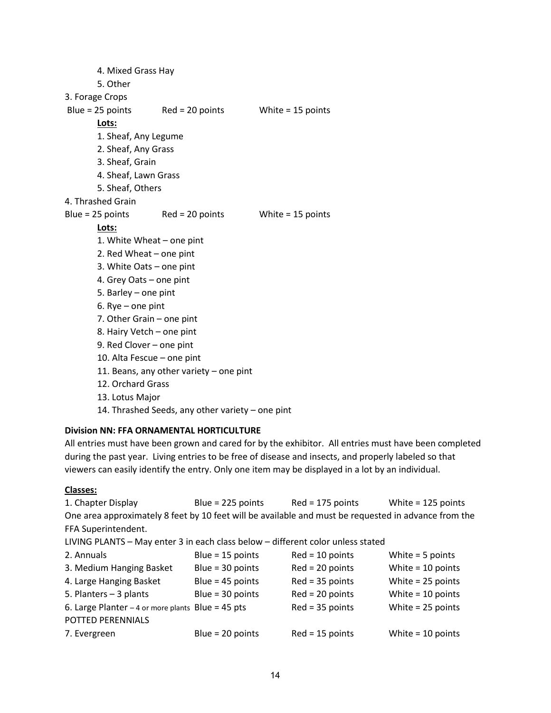4. Mixed Grass Hay 5. Other 3. Forage Crops Blue = 25 points Red = 20 points White = 15 points **Lots:** 1. Sheaf, Any Legume 2. Sheaf, Any Grass 3. Sheaf, Grain 4. Sheaf, Lawn Grass 5. Sheaf, Others 4. Thrashed Grain Blue = 25 points Red = 20 points White = 15 points **Lots:** 1. White Wheat – one pint 2. Red Wheat – one pint 3. White Oats – one pint 4. Grey Oats – one pint 5. Barley – one pint 6. Rye – one pint 7. Other Grain – one pint 8. Hairy Vetch – one pint 9. Red Clover – one pint 10. Alta Fescue – one pint 11. Beans, any other variety – one pint 12. Orchard Grass 13. Lotus Major

### 14. Thrashed Seeds, any other variety – one pint

# **Division NN: FFA ORNAMENTAL HORTICULTURE**

All entries must have been grown and cared for by the exhibitor. All entries must have been completed during the past year. Living entries to be free of disease and insects, and properly labeled so that viewers can easily identify the entry. Only one item may be displayed in a lot by an individual.

# **Classes:**

| 1. Chapter Display                                                                                   | Blue = $225$ points | $Red = 175$ points | White = $125$ points |  |  |
|------------------------------------------------------------------------------------------------------|---------------------|--------------------|----------------------|--|--|
| One area approximately 8 feet by 10 feet will be available and must be requested in advance from the |                     |                    |                      |  |  |
| FFA Superintendent.                                                                                  |                     |                    |                      |  |  |
| LIVING PLANTS - May enter 3 in each class below - different color unless stated                      |                     |                    |                      |  |  |
| 2. Annuals                                                                                           | Blue = $15$ points  | $Red = 10$ points  | White $=$ 5 points   |  |  |
| 3. Medium Hanging Basket                                                                             | Blue = $30$ points  | $Red = 20 points$  | White $= 10$ points  |  |  |
| 4. Large Hanging Basket                                                                              | Blue = $45$ points  | $Red = 35$ points  | White $= 25$ points  |  |  |
| 5. Planters - 3 plants                                                                               | Blue = $30$ points  | $Red = 20$ points  | White $= 10$ points  |  |  |
| 6. Large Planter $-4$ or more plants Blue = 45 pts                                                   |                     | $Red = 35$ points  | White $= 25$ points  |  |  |
| POTTED PERENNIALS                                                                                    |                     |                    |                      |  |  |
| 7. Evergreen                                                                                         | Blue = $20$ points  | $Red = 15$ points  | White $= 10$ points  |  |  |